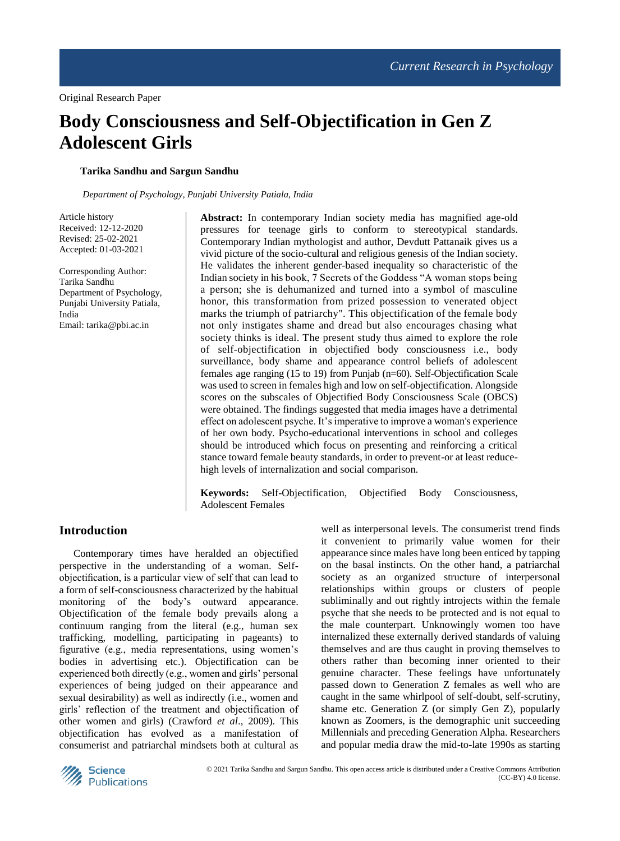# **Body Consciousness and Self-Objectification in Gen Z Adolescent Girls**

## **Tarika Sandhu and Sargun Sandhu**

*Department of Psychology, Punjabi University Patiala, India*

Article history Received: 12-12-2020 Revised: 25-02-2021 Accepted: 01-03-2021

Corresponding Author: Tarika Sandhu Department of Psychology, Punjabi University Patiala, India Email: tarika@pbi.ac.in

**Abstract:** In contemporary Indian society media has magnified age-old pressures for teenage girls to conform to stereotypical standards. Contemporary Indian mythologist and author, Devdutt Pattanaik gives us a vivid picture of the socio-cultural and religious genesis of the Indian society. He validates the inherent gender-based inequality so characteristic of the Indian society in his book, 7 Secrets of the Goddess "A woman stops being a person; she is dehumanized and turned into a symbol of masculine honor, this transformation from prized possession to venerated object marks the triumph of patriarchy". This objectification of the female body not only instigates shame and dread but also encourages chasing what society thinks is ideal. The present study thus aimed to explore the role of self-objectification in objectified body consciousness i.e., body surveillance, body shame and appearance control beliefs of adolescent females age ranging (15 to 19) from Punjab (n=60). Self-Objectification Scale was used to screen in females high and low on self-objectification. Alongside scores on the subscales of Objectified Body Consciousness Scale (OBCS) were obtained. The findings suggested that media images have a detrimental effect on adolescent psyche. It's imperative to improve a woman's experience of her own body. Psycho-educational interventions in school and colleges should be introduced which focus on presenting and reinforcing a critical stance toward female beauty standards, in order to prevent-or at least reducehigh levels of internalization and social comparison.

**Keywords:** Self-Objectification, Objectified Body Consciousness, Adolescent Females

## **Introduction**

Contemporary times have heralded an objectified perspective in the understanding of a woman. Selfobjectification, is a particular view of self that can lead to a form of self-consciousness characterized by the habitual monitoring of the body's outward appearance. Objectification of the female body prevails along a continuum ranging from the literal (e.g., human sex trafficking, modelling, participating in pageants) to figurative (e.g., media representations, using women's bodies in advertising etc.). Objectification can be experienced both directly (e.g., women and girls' personal experiences of being judged on their appearance and sexual desirability) as well as indirectly (i.e., women and girls' reflection of the treatment and objectification of other women and girls) (Crawford *et al*., 2009). This objectification has evolved as a manifestation of consumerist and patriarchal mindsets both at cultural as

well as interpersonal levels. The consumerist trend finds it convenient to primarily value women for their appearance since males have long been enticed by tapping on the basal instincts. On the other hand, a patriarchal society as an organized structure of interpersonal relationships within groups or clusters of people subliminally and out rightly introjects within the female psyche that she needs to be protected and is not equal to the male counterpart. Unknowingly women too have internalized these externally derived standards of valuing themselves and are thus caught in proving themselves to others rather than becoming inner oriented to their genuine character. These feelings have unfortunately passed down to Generation Z females as well who are caught in the same whirlpool of self-doubt, self-scrutiny, shame etc. Generation Z (or simply Gen Z), popularly known as Zoomers, is the demographic unit succeeding Millennials and preceding Generation Alpha. Researchers and popular media draw the mid-to-late 1990s as starting

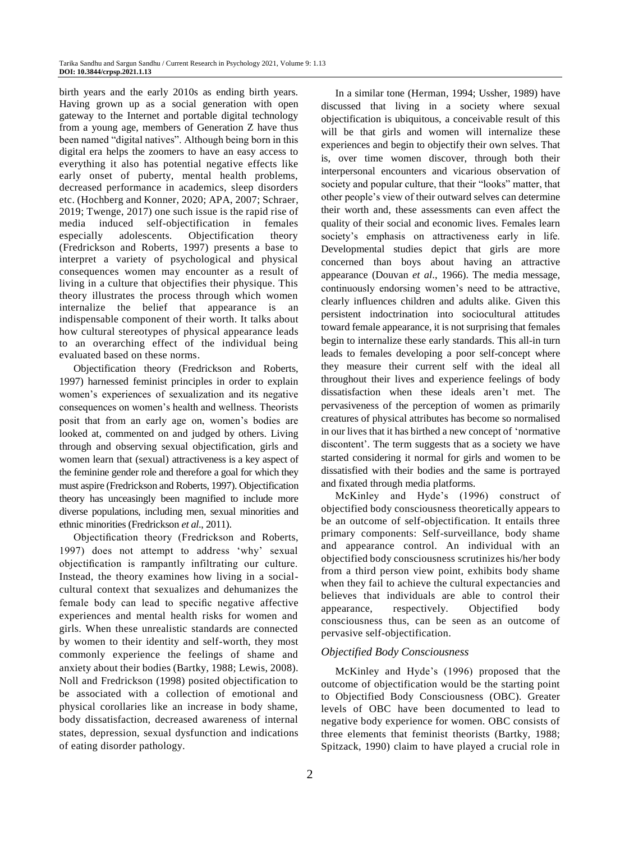birth years and the early 2010s as ending birth years. Having grown up as a social generation with open gateway to the Internet and portable digital technology from a young age, members of Generation Z have thus been named "digital natives". Although being born in this digital era helps the zoomers to have an easy access to everything it also has potential negative effects like early onset of puberty, mental health problems, decreased performance in academics, sleep disorders etc. (Hochberg and Konner, 2020; APA, 2007; Schraer, 2019; Twenge, 2017) one such issue is the rapid rise of media induced self-objectification in females especially adolescents. Objectification theory (Fredrickson and Roberts, 1997) presents a base to interpret a variety of psychological and physical consequences women may encounter as a result of living in a culture that objectifies their physique. This theory illustrates the process through which women internalize the belief that appearance is an indispensable component of their worth. It talks about how cultural stereotypes of physical appearance leads to an overarching effect of the individual being evaluated based on these norms.

Objectification theory (Fredrickson and Roberts, 1997) harnessed feminist principles in order to explain women's experiences of sexualization and its negative consequences on women's health and wellness. Theorists posit that from an early age on, women's bodies are looked at, commented on and judged by others. Living through and observing sexual objectification, girls and women learn that (sexual) attractiveness is a key aspect of the feminine gender role and therefore a goal for which they must aspire (Fredrickson and Roberts, 1997). Objectification theory has unceasingly been magnified to include more diverse populations, including men, sexual minorities and ethnic minorities (Fredrickson *et al*., 2011).

Objectification theory (Fredrickson and Roberts, 1997) does not attempt to address 'why' sexual objectification is rampantly infiltrating our culture. Instead, the theory examines how living in a socialcultural context that sexualizes and dehumanizes the female body can lead to specific negative affective experiences and mental health risks for women and girls. When these unrealistic standards are connected by women to their identity and self-worth, they most commonly experience the feelings of shame and anxiety about their bodies (Bartky, 1988; Lewis, 2008). Noll and Fredrickson (1998) posited objectification to be associated with a collection of emotional and physical corollaries like an increase in body shame, body dissatisfaction, decreased awareness of internal states, depression, sexual dysfunction and indications of eating disorder pathology.

In a similar tone (Herman, 1994; Ussher, 1989) have discussed that living in a society where sexual objectification is ubiquitous, a conceivable result of this will be that girls and women will internalize these experiences and begin to objectify their own selves. That is, over time women discover, through both their interpersonal encounters and vicarious observation of society and popular culture, that their "looks" matter, that other people's view of their outward selves can determine their worth and, these assessments can even affect the quality of their social and economic lives. Females learn society's emphasis on attractiveness early in life. Developmental studies depict that girls are more concerned than boys about having an attractive appearance (Douvan *et al*., 1966). The media message, continuously endorsing women's need to be attractive, clearly influences children and adults alike. Given this persistent indoctrination into sociocultural attitudes toward female appearance, it is not surprising that females begin to internalize these early standards. This all-in turn leads to females developing a poor self-concept where they measure their current self with the ideal all throughout their lives and experience feelings of body dissatisfaction when these ideals aren't met. The pervasiveness of the perception of women as primarily creatures of physical attributes has become so normalised in our lives that it has birthed a new concept of 'normative discontent'. The term suggests that as a society we have started considering it normal for girls and women to be dissatisfied with their bodies and the same is portrayed and fixated through media platforms.

McKinley and Hyde's (1996) construct of objectified body consciousness theoretically appears to be an outcome of self-objectification. It entails three primary components: Self-surveillance, body shame and appearance control. An individual with an objectified body consciousness scrutinizes his/her body from a third person view point, exhibits body shame when they fail to achieve the cultural expectancies and believes that individuals are able to control their appearance, respectively. Objectified body consciousness thus, can be seen as an outcome of pervasive self-objectification.

#### *Objectified Body Consciousness*

McKinley and Hyde's (1996) proposed that the outcome of objectification would be the starting point to Objectified Body Consciousness (OBC). Greater levels of OBC have been documented to lead to negative body experience for women. OBC consists of three elements that feminist theorists (Bartky, 1988; Spitzack, 1990) claim to have played a crucial role in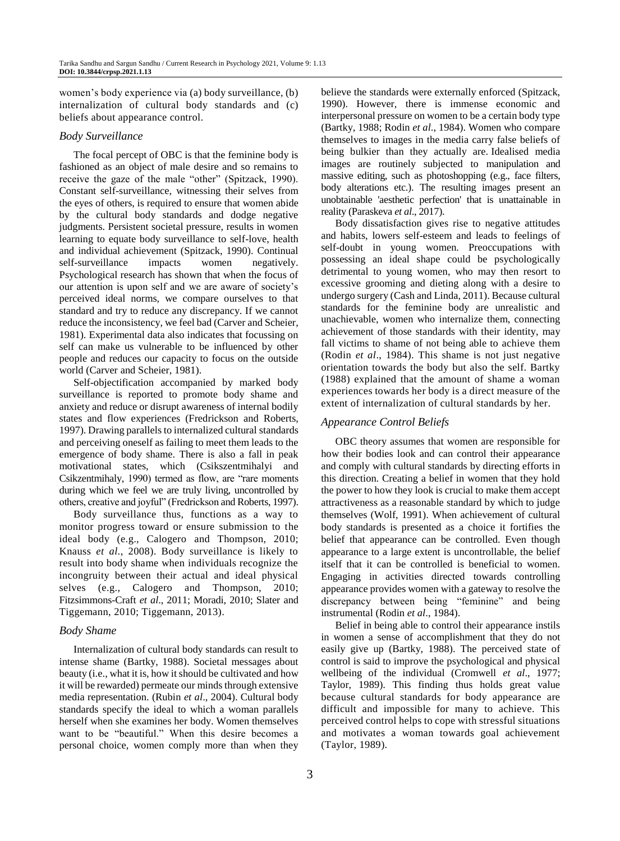women's body experience via (a) body surveillance, (b) internalization of cultural body standards and (c) beliefs about appearance control.

#### *Body Surveillance*

The focal percept of OBC is that the feminine body is fashioned as an object of male desire and so remains to receive the gaze of the male "other" (Spitzack, 1990). Constant self-surveillance, witnessing their selves from the eyes of others, is required to ensure that women abide by the cultural body standards and dodge negative judgments. Persistent societal pressure, results in women learning to equate body surveillance to self-love, health and individual achievement (Spitzack, 1990). Continual self-surveillance impacts women negatively. Psychological research has shown that when the focus of our attention is upon self and we are aware of society's perceived ideal norms, we compare ourselves to that standard and try to reduce any discrepancy. If we cannot reduce the inconsistency, we feel bad (Carver and Scheier, 1981). Experimental data also indicates that focussing on self can make us vulnerable to be influenced by other people and reduces our capacity to focus on the outside world (Carver and Scheier, 1981).

Self-objectification accompanied by marked body surveillance is reported to promote body shame and anxiety and reduce or disrupt awareness of internal bodily states and flow experiences (Fredrickson and Roberts, 1997). Drawing parallels to internalized cultural standards and perceiving oneself as failing to meet them leads to the emergence of body shame. There is also a fall in peak motivational states, which (Csikszentmihalyi and Csikzentmihaly, 1990) termed as flow, are "rare moments during which we feel we are truly living, uncontrolled by others, creative and joyful" (Fredrickson and Roberts, 1997).

Body surveillance thus, functions as a way to monitor progress toward or ensure submission to the ideal body (e.g., Calogero and Thompson, 2010; Knauss *et al*., 2008). Body surveillance is likely to result into body shame when individuals recognize the incongruity between their actual and ideal physical selves (e.g., Calogero and Thompson, 2010; Fitzsimmons-Craft *et al*., 2011; Moradi, 2010; Slater and Tiggemann, 2010; Tiggemann, 2013).

#### *Body Shame*

Internalization of cultural body standards can result to intense shame (Bartky, 1988). Societal messages about beauty (i.e., what it is, how it should be cultivated and how it will be rewarded) permeate our minds through extensive media representation. (Rubin *et al*., 2004). Cultural body standards specify the ideal to which a woman parallels herself when she examines her body. Women themselves want to be "beautiful." When this desire becomes a personal choice, women comply more than when they believe the standards were externally enforced (Spitzack, 1990). However, there is immense economic and interpersonal pressure on women to be a certain body type (Bartky, 1988; Rodin *et al*., 1984). Women who compare themselves to images in the media carry false beliefs of being bulkier than they actually are. Idealised media images are routinely subjected to manipulation and massive editing, such as photoshopping (e.g., face filters, body alterations etc.). The resulting images present an unobtainable 'aesthetic perfection' that is unattainable in reality (Paraskeva *et al*., 2017).

Body dissatisfaction gives rise to negative attitudes and habits, lowers self-esteem and leads to feelings of self-doubt in young women. Preoccupations with possessing an ideal shape could be psychologically detrimental to young women, who may then resort to excessive grooming and dieting along with a desire to undergo surgery (Cash and Linda, 2011). Because cultural standards for the feminine body are unrealistic and unachievable, women who internalize them, connecting achievement of those standards with their identity, may fall victims to shame of not being able to achieve them (Rodin *et al*., 1984). This shame is not just negative orientation towards the body but also the self. Bartky (1988) explained that the amount of shame a woman experiences towards her body is a direct measure of the extent of internalization of cultural standards by her.

## *Appearance Control Beliefs*

OBC theory assumes that women are responsible for how their bodies look and can control their appearance and comply with cultural standards by directing efforts in this direction. Creating a belief in women that they hold the power to how they look is crucial to make them accept attractiveness as a reasonable standard by which to judge themselves (Wolf, 1991). When achievement of cultural body standards is presented as a choice it fortifies the belief that appearance can be controlled. Even though appearance to a large extent is uncontrollable, the belief itself that it can be controlled is beneficial to women. Engaging in activities directed towards controlling appearance provides women with a gateway to resolve the discrepancy between being "feminine" and being instrumental (Rodin *et al*., 1984).

Belief in being able to control their appearance instils in women a sense of accomplishment that they do not easily give up (Bartky, 1988). The perceived state of control is said to improve the psychological and physical wellbeing of the individual (Cromwell *et al*., 1977; Taylor, 1989). This finding thus holds great value because cultural standards for body appearance are difficult and impossible for many to achieve. This perceived control helps to cope with stressful situations and motivates a woman towards goal achievement (Taylor, 1989).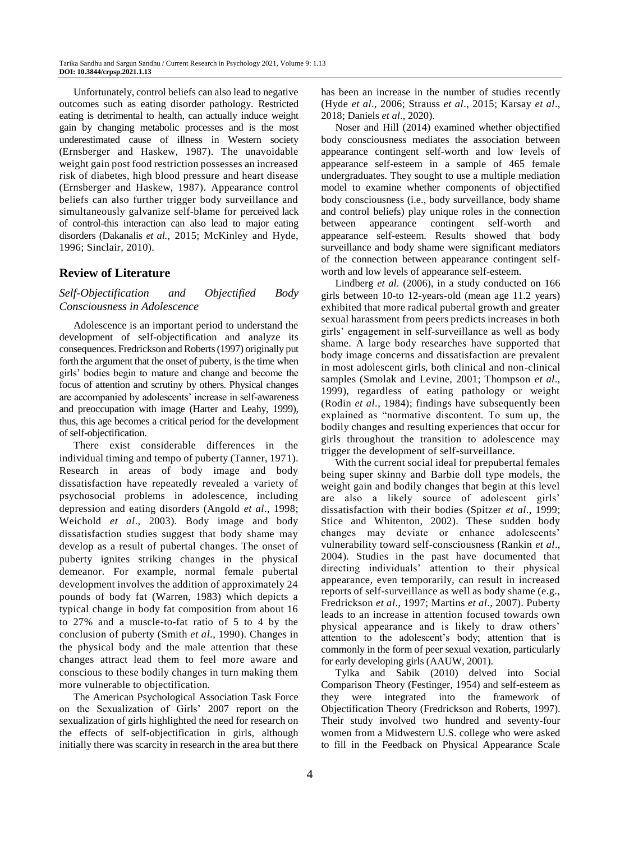Unfortunately, control beliefs can also lead to negative outcomes such as eating disorder pathology. Restricted eating is detrimental to health, can actually induce weight gain by changing metabolic processes and is the most underestimated cause of illness in Western society (Ernsberger and Haskew, 1987). The unavoidable weight gain post food restriction possesses an increased risk of diabetes, high blood pressure and heart disease (Ernsberger and Haskew, 1987). Appearance control beliefs can also further trigger body surveillance and simultaneously galvanize self-blame for perceived lack of control-this interaction can also lead to major eating disorders (Dakanalis *et al*., 2015; McKinley and Hyde, 1996; Sinclair, 2010).

## **Review of Literature**

*Self-Objectification and Objectified Body Consciousness in Adolescence* 

Adolescence is an important period to understand the development of self-objectification and analyze its consequences. Fredrickson and Roberts (1997) originally put forth the argument that the onset of puberty, is the time when girls' bodies begin to mature and change and become the focus of attention and scrutiny by others. Physical changes are accompanied by adolescents' increase in self-awareness and preoccupation with image (Harter and Leahy, 1999), thus, this age becomes a critical period for the development of self-objectification.

There exist considerable differences in the individual timing and tempo of puberty (Tanner, 1971). Research in areas of body image and body dissatisfaction have repeatedly revealed a variety of psychosocial problems in adolescence, including depression and eating disorders (Angold *et al*., 1998; Weichold *et al*., 2003). Body image and body dissatisfaction studies suggest that body shame may develop as a result of pubertal changes. The onset of puberty ignites striking changes in the physical demeanor. For example, normal female pubertal development involves the addition of approximately 24 pounds of body fat (Warren, 1983) which depicts a typical change in body fat composition from about 16 to 27% and a muscle-to-fat ratio of 5 to 4 by the conclusion of puberty (Smith *et al*., 1990). Changes in the physical body and the male attention that these changes attract lead them to feel more aware and conscious to these bodily changes in turn making them more vulnerable to objectification.

The American Psychological Association Task Force on the Sexualization of Girls' 2007 report on the sexualization of girls highlighted the need for research on the effects of self-objectification in girls, although initially there was scarcity in research in the area but there

has been an increase in the number of studies recently (Hyde *et al*., 2006; Strauss *et al*., 2015; Karsay *et al*., 2018; Daniels *et al*., 2020).

Noser and Hill (2014) examined whether objectified body consciousness mediates the association between appearance contingent self-worth and low levels of appearance self-esteem in a sample of 465 female undergraduates. They sought to use a multiple mediation model to examine whether components of objectified body consciousness (i.e., body surveillance, body shame and control beliefs) play unique roles in the connection between appearance contingent self-worth and appearance self-esteem. Results showed that body surveillance and body shame were significant mediators of the connection between appearance contingent selfworth and low levels of appearance self-esteem.

Lindberg *et al*. (2006), in a study conducted on 166 girls between 10-to 12-years-old (mean age 11.2 years) exhibited that more radical pubertal growth and greater sexual harassment from peers predicts increases in both girls' engagement in self-surveillance as well as body shame. A large body researches have supported that body image concerns and dissatisfaction are prevalent in most adolescent girls, both clinical and non-clinical samples (Smolak and Levine, 2001; Thompson *et al*., 1999), regardless of eating pathology or weight (Rodin *et al*., 1984); findings have subsequently been explained as "normative discontent. To sum up, the bodily changes and resulting experiences that occur for girls throughout the transition to adolescence may trigger the development of self-surveillance.

With the current social ideal for prepubertal females being super skinny and Barbie doll type models, the weight gain and bodily changes that begin at this level are also a likely source of adolescent girls' dissatisfaction with their bodies (Spitzer *et al*., 1999; Stice and Whitenton, 2002). These sudden body changes may deviate or enhance adolescents' vulnerability toward self-consciousness (Rankin *et al*., 2004). Studies in the past have documented that directing individuals' attention to their physical appearance, even temporarily, can result in increased reports of self-surveillance as well as body shame (e.g., Fredrickson *et al*., 1997; Martins *et al*., 2007). Puberty leads to an increase in attention focused towards own physical appearance and is likely to draw others' attention to the adolescent's body; attention that is commonly in the form of peer sexual vexation, particularly for early developing girls (AAUW, 2001).

Tylka and Sabik (2010) delved into Social Comparison Theory (Festinger, 1954) and self-esteem as they were integrated into the framework of Objectification Theory (Fredrickson and Roberts, 1997). Their study involved two hundred and seventy-four women from a Midwestern U.S. college who were asked to fill in the Feedback on Physical Appearance Scale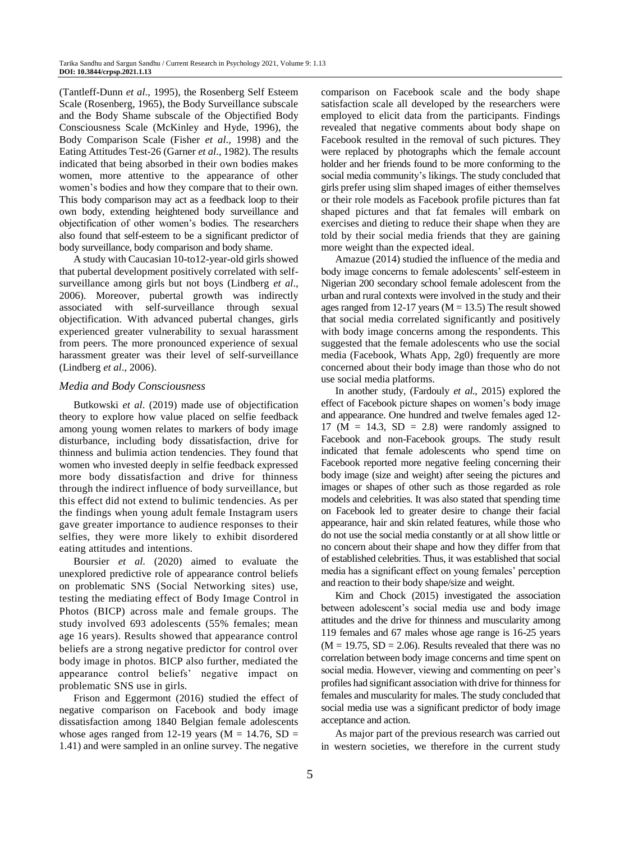(Tantleff-Dunn *et al*., 1995), the Rosenberg Self Esteem Scale (Rosenberg, 1965), the Body Surveillance subscale and the Body Shame subscale of the Objectified Body Consciousness Scale (McKinley and Hyde, 1996), the Body Comparison Scale (Fisher *et al*., 1998) and the Eating Attitudes Test-26 (Garner *et al*., 1982). The results indicated that being absorbed in their own bodies makes women, more attentive to the appearance of other women's bodies and how they compare that to their own. This body comparison may act as a feedback loop to their own body, extending heightened body surveillance and objectification of other women's bodies. The researchers also found that self-esteem to be a significant predictor of body surveillance, body comparison and body shame.

A study with Caucasian 10-to12-year-old girls showed that pubertal development positively correlated with selfsurveillance among girls but not boys (Lindberg *et al*., 2006). Moreover, pubertal growth was indirectly associated with self-surveillance through sexual objectification. With advanced pubertal changes, girls experienced greater vulnerability to sexual harassment from peers. The more pronounced experience of sexual harassment greater was their level of self-surveillance (Lindberg *et al*., 2006).

#### *Media and Body Consciousness*

Butkowski *et al*. (2019) made use of objectification theory to explore how value placed on selfie feedback among young women relates to markers of body image disturbance, including body dissatisfaction, drive for thinness and bulimia action tendencies. They found that women who invested deeply in selfie feedback expressed more body dissatisfaction and drive for thinness through the indirect influence of body surveillance, but this effect did not extend to bulimic tendencies. As per the findings when young adult female Instagram users gave greater importance to audience responses to their selfies, they were more likely to exhibit disordered eating attitudes and intentions.

Boursier *et al*. (2020) aimed to evaluate the unexplored predictive role of appearance control beliefs on problematic SNS (Social Networking sites) use, testing the mediating effect of Body Image Control in Photos (BICP) across male and female groups. The study involved 693 adolescents (55% females; mean age 16 years). Results showed that appearance control beliefs are a strong negative predictor for control over body image in photos. BICP also further, mediated the appearance control beliefs' negative impact on problematic SNS use in girls.

Frison and Eggermont (2016) studied the effect of negative comparison on Facebook and body image dissatisfaction among 1840 Belgian female adolescents whose ages ranged from 12-19 years ( $M = 14.76$ , SD = 1.41) and were sampled in an online survey. The negative

comparison on Facebook scale and the body shape satisfaction scale all developed by the researchers were employed to elicit data from the participants. Findings revealed that negative comments about body shape on Facebook resulted in the removal of such pictures. They were replaced by photographs which the female account holder and her friends found to be more conforming to the social media community's likings. The study concluded that girls prefer using slim shaped images of either themselves or their role models as Facebook profile pictures than fat shaped pictures and that fat females will embark on exercises and dieting to reduce their shape when they are told by their social media friends that they are gaining more weight than the expected ideal.

Amazue (2014) studied the influence of the media and body image concerns to female adolescents' self-esteem in Nigerian 200 secondary school female adolescent from the urban and rural contexts were involved in the study and their ages ranged from 12-17 years ( $M = 13.5$ ) The result showed that social media correlated significantly and positively with body image concerns among the respondents. This suggested that the female adolescents who use the social media (Facebook, Whats App, 2g0) frequently are more concerned about their body image than those who do not use social media platforms.

In another study, (Fardouly *et al*., 2015) explored the effect of Facebook picture shapes on women's body image and appearance. One hundred and twelve females aged 12- 17 ( $M = 14.3$ ,  $SD = 2.8$ ) were randomly assigned to Facebook and non-Facebook groups. The study result indicated that female adolescents who spend time on Facebook reported more negative feeling concerning their body image (size and weight) after seeing the pictures and images or shapes of other such as those regarded as role models and celebrities. It was also stated that spending time on Facebook led to greater desire to change their facial appearance, hair and skin related features, while those who do not use the social media constantly or at all show little or no concern about their shape and how they differ from that of established celebrities. Thus, it was established that social media has a significant effect on young females' perception and reaction to their body shape/size and weight.

Kim and Chock (2015) investigated the association between adolescent's social media use and body image attitudes and the drive for thinness and muscularity among 119 females and 67 males whose age range is 16-25 years  $(M = 19.75, SD = 2.06)$ . Results revealed that there was no correlation between body image concerns and time spent on social media. However, viewing and commenting on peer's profiles had significant association with drive for thinness for females and muscularity for males. The study concluded that social media use was a significant predictor of body image acceptance and action.

As major part of the previous research was carried out in western societies, we therefore in the current study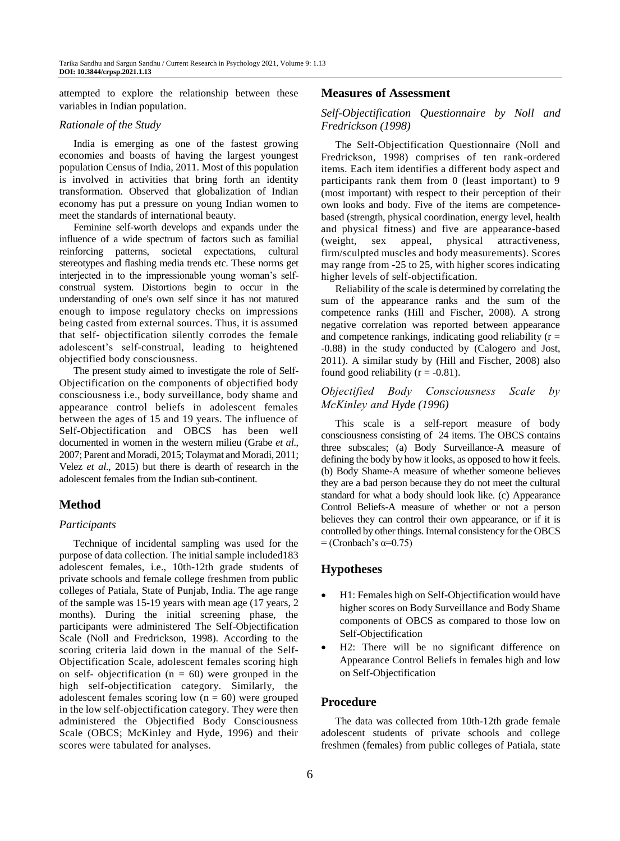attempted to explore the relationship between these variables in Indian population.

#### *Rationale of the Study*

India is emerging as one of the fastest growing economies and boasts of having the largest youngest population Census of India, 2011. Most of this population is involved in activities that bring forth an identity transformation. Observed that globalization of Indian economy has put a pressure on young Indian women to meet the standards of international beauty.

Feminine self-worth develops and expands under the influence of a wide spectrum of factors such as familial reinforcing patterns, societal expectations, cultural stereotypes and flashing media trends etc. These norms get interjected in to the impressionable young woman's selfconstrual system. Distortions begin to occur in the understanding of one's own self since it has not matured enough to impose regulatory checks on impressions being casted from external sources. Thus, it is assumed that self- objectification silently corrodes the female adolescent's self-construal, leading to heightened objectified body consciousness.

The present study aimed to investigate the role of Self-Objectification on the components of objectified body consciousness i.e., body surveillance, body shame and appearance control beliefs in adolescent females between the ages of 15 and 19 years. The influence of Self-Objectification and OBCS has been well documented in women in the western milieu (Grabe *et al*., 2007; Parent and Moradi, 2015; Tolaymat and Moradi, 2011; Velez *et al*., 2015) but there is dearth of research in the adolescent females from the Indian sub-continent.

## **Method**

#### *Participants*

Technique of incidental sampling was used for the purpose of data collection. The initial sample included183 adolescent females, i.e., 10th-12th grade students of private schools and female college freshmen from public colleges of Patiala, State of Punjab, India. The age range of the sample was 15-19 years with mean age (17 years, 2 months). During the initial screening phase, the participants were administered The Self-Objectification Scale (Noll and Fredrickson, 1998). According to the scoring criteria laid down in the manual of the Self-Objectification Scale, adolescent females scoring high on self- objectification ( $n = 60$ ) were grouped in the high self-objectification category. Similarly, the adolescent females scoring low  $(n = 60)$  were grouped in the low self-objectification category. They were then administered the Objectified Body Consciousness Scale (OBCS; McKinley and Hyde, 1996) and their scores were tabulated for analyses.

#### **Measures of Assessment**

## *Self-Objectification Questionnaire by Noll and Fredrickson (1998)*

The Self-Objectification Questionnaire (Noll and Fredrickson, 1998) comprises of ten rank-ordered items. Each item identifies a different body aspect and participants rank them from 0 (least important) to 9 (most important) with respect to their perception of their own looks and body. Five of the items are competencebased (strength, physical coordination, energy level, health and physical fitness) and five are appearance-based (weight, sex appeal, physical attractiveness, firm/sculpted muscles and body measurements). Scores may range from -25 to 25, with higher scores indicating higher levels of self-objectification.

Reliability of the scale is determined by correlating the sum of the appearance ranks and the sum of the competence ranks (Hill and Fischer, 2008). A strong negative correlation was reported between appearance and competence rankings, indicating good reliability  $(r =$ -0.88) in the study conducted by (Calogero and Jost, 2011). A similar study by (Hill and Fischer, 2008) also found good reliability ( $r = -0.81$ ).

## *Objectified Body Consciousness Scale by McKinley and Hyde (1996)*

This scale is a self-report measure of body consciousness consisting of 24 items. The OBCS contains three subscales; (a) Body Surveillance-A measure of defining the body by how it looks, as opposed to how it feels. (b) Body Shame-A measure of whether someone believes they are a bad person because they do not meet the cultural standard for what a body should look like. (c) Appearance Control Beliefs-A measure of whether or not a person believes they can control their own appearance, or if it is controlled by other things. Internal consistency for the OBCS  $=$  (Cronbach's  $\alpha=0.75$ )

## **Hypotheses**

- H1: Females high on Self-Objectification would have higher scores on Body Surveillance and Body Shame components of OBCS as compared to those low on Self-Objectification
- H2: There will be no significant difference on Appearance Control Beliefs in females high and low on Self-Objectification

## **Procedure**

The data was collected from 10th-12th grade female adolescent students of private schools and college freshmen (females) from public colleges of Patiala, state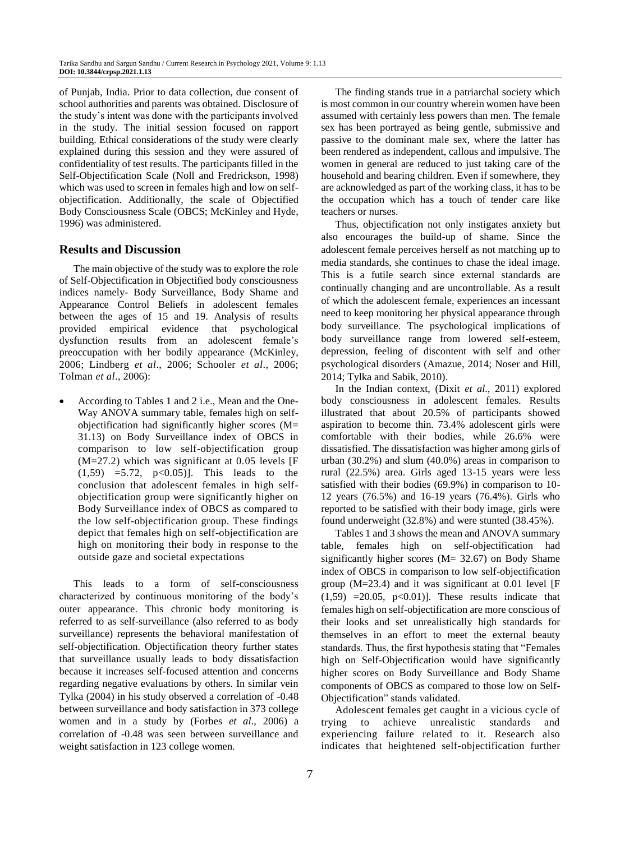of Punjab, India. Prior to data collection, due consent of school authorities and parents was obtained. Disclosure of the study's intent was done with the participants involved in the study. The initial session focused on rapport building. Ethical considerations of the study were clearly explained during this session and they were assured of confidentiality of test results. The participants filled in the Self-Objectification Scale (Noll and Fredrickson, 1998) which was used to screen in females high and low on selfobjectification. Additionally, the scale of Objectified Body Consciousness Scale (OBCS; McKinley and Hyde, 1996) was administered.

## **Results and Discussion**

The main objective of the study was to explore the role of Self-Objectification in Objectified body consciousness indices namely- Body Surveillance, Body Shame and Appearance Control Beliefs in adolescent females between the ages of 15 and 19. Analysis of results provided empirical evidence that psychological dysfunction results from an adolescent female's preoccupation with her bodily appearance (McKinley, 2006; Lindberg *et al*., 2006; Schooler *et al*., 2006; Tolman *et al*., 2006):

 According to Tables 1 and 2 i.e., Mean and the One-Way ANOVA summary table, females high on selfobjectification had significantly higher scores (M= 31.13) on Body Surveillance index of OBCS in comparison to low self-objectification group  $(M=27.2)$  which was significant at 0.05 levels [F  $(1,59)$  =5.72, p<0.05)]. This leads to the conclusion that adolescent females in high selfobjectification group were significantly higher on Body Surveillance index of OBCS as compared to the low self-objectification group. These findings depict that females high on self-objectification are high on monitoring their body in response to the outside gaze and societal expectations

This leads to a form of self-consciousness characterized by continuous monitoring of the body's outer appearance. This chronic body monitoring is referred to as self-surveillance (also referred to as body surveillance) represents the behavioral manifestation of self-objectification. Objectification theory further states that surveillance usually leads to body dissatisfaction because it increases self-focused attention and concerns regarding negative evaluations by others. In similar vein Tylka (2004) in his study observed a correlation of -0.48 between surveillance and body satisfaction in 373 college women and in a study by (Forbes *et al*., 2006) a correlation of -0.48 was seen between surveillance and weight satisfaction in 123 college women.

The finding stands true in a patriarchal society which is most common in our country wherein women have been assumed with certainly less powers than men. The female sex has been portrayed as being gentle, submissive and passive to the dominant male sex, where the latter has been rendered as independent, callous and impulsive. The women in general are reduced to just taking care of the household and bearing children. Even if somewhere, they are acknowledged as part of the working class, it has to be the occupation which has a touch of tender care like teachers or nurses.

Thus, objectification not only instigates anxiety but also encourages the build-up of shame. Since the adolescent female perceives herself as not matching up to media standards, she continues to chase the ideal image. This is a futile search since external standards are continually changing and are uncontrollable. As a result of which the adolescent female, experiences an incessant need to keep monitoring her physical appearance through body surveillance. The psychological implications of body surveillance range from lowered self-esteem, depression, feeling of discontent with self and other psychological disorders (Amazue, 2014; Noser and Hill, 2014; Tylka and Sabik, 2010).

In the Indian context, (Dixit *et al*., 2011) explored body consciousness in adolescent females. Results illustrated that about 20.5% of participants showed aspiration to become thin. 73.4% adolescent girls were comfortable with their bodies, while 26.6% were dissatisfied. The dissatisfaction was higher among girls of urban (30.2%) and slum (40.0%) areas in comparison to rural (22.5%) area. Girls aged 13-15 years were less satisfied with their bodies (69.9%) in comparison to 10- 12 years (76.5%) and 16-19 years (76.4%). Girls who reported to be satisfied with their body image, girls were found underweight (32.8%) and were stunted (38.45%).

Tables 1 and 3 shows the mean and ANOVA summary table, females high on self-objectification had significantly higher scores (M= 32.67) on Body Shame index of OBCS in comparison to low self-objectification group (M=23.4) and it was significant at 0.01 level [F  $(1,59)$  =20.05, p<0.01)]. These results indicate that females high on self-objectification are more conscious of their looks and set unrealistically high standards for themselves in an effort to meet the external beauty standards. Thus, the first hypothesis stating that "Females high on Self-Objectification would have significantly higher scores on Body Surveillance and Body Shame components of OBCS as compared to those low on Self-Objectification" stands validated.

Adolescent females get caught in a vicious cycle of trying to achieve unrealistic standards and experiencing failure related to it. Research also indicates that heightened self-objectification further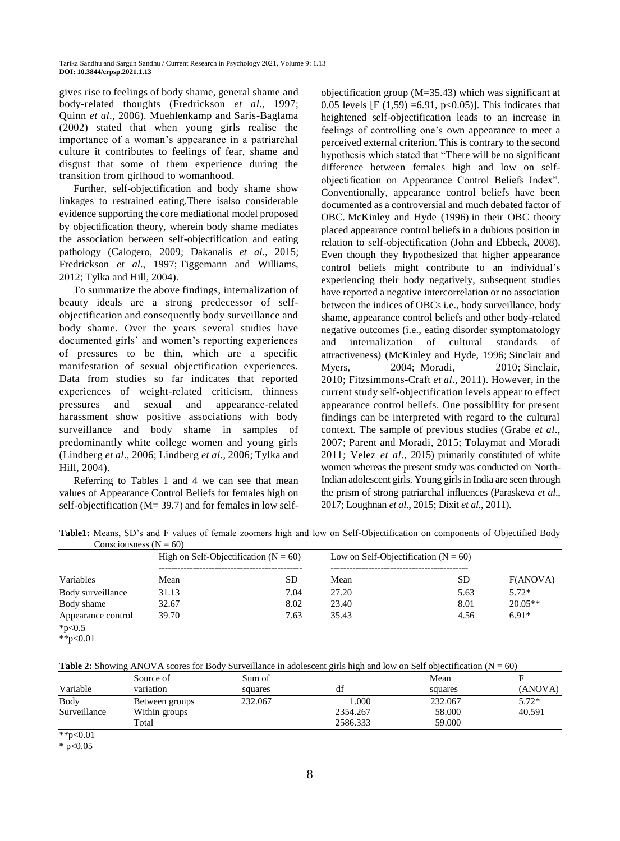gives rise to feelings of body shame, general shame and body-related thoughts (Fredrickson *et al*., 1997; Quinn *et al*., 2006). Muehlenkamp and Saris-Baglama (2002) stated that when young girls realise the importance of a woman's appearance in a patriarchal culture it contributes to feelings of fear, shame and disgust that some of them experience during the transition from girlhood to womanhood.

Further, self-objectification and body shame show linkages to restrained eating.There isalso considerable evidence supporting the core mediational model proposed by objectification theory, wherein body shame mediates the association between self-objectification and eating pathology [\(Calogero, 2009;](https://www.ncbi.nlm.nih.gov/pmc/articles/PMC5869145/#R9) [Dakanalis](https://www.ncbi.nlm.nih.gov/pmc/articles/PMC5869145/#R15) *et al*., 2015; [Fredrickson](https://www.ncbi.nlm.nih.gov/pmc/articles/PMC5869145/#R22) *et al*., 1997; [Tiggemann and](https://www.ncbi.nlm.nih.gov/pmc/articles/PMC5869145/#R55) Williams, [2012;](https://www.ncbi.nlm.nih.gov/pmc/articles/PMC5869145/#R55) Tylka and [Hill, 2004\)](https://www.ncbi.nlm.nih.gov/pmc/articles/PMC5869145/#R56).

To summarize the above findings, internalization of beauty ideals are a strong predecessor of selfobjectification and consequently body surveillance and body shame. Over the years several studies have documented girls' and women's reporting experiences of pressures to be thin, which are a specific manifestation of sexual objectification experiences. Data from studies so far indicates that reported experiences of weight-related criticism, thinness pressures and sexual and appearance-related harassment show positive associations with body surveillance and body shame in samples of predominantly white college women and young girls (Lindberg *et al*., 2006; Lindberg *et al*., 2006; Tylka and Hill, 2004).

Referring to Tables 1 and 4 we can see that mean values of Appearance Control Beliefs for females high on self-objectification (M= 39.7) and for females in low selfobjectification group (M=35.43) which was significant at 0.05 levels [F  $(1,59) = 6.91$ , p<0.05)]. This indicates that heightened self-objectification leads to an increase in feelings of controlling one's own appearance to meet a perceived external criterion. This is contrary to the second hypothesis which stated that "There will be no significant difference between females high and low on selfobjectification on Appearance Control Beliefs Index". Conventionally, appearance control beliefs have been documented as a controversial and much debated factor of OBC. McKinley and Hyde (1996) in their OBC theory placed appearance control beliefs in a dubious position in relation to self-objectification [\(John and Ebbeck, 2008\)](https://www.frontiersin.org/articles/10.3389/fpsyg.2020.00147/full#B51). Even though they hypothesized that higher appearance control beliefs might contribute to an individual's experiencing their body negatively, subsequent studies have reported a negative intercorrelation or no association between the indices of OBCs i.e., body surveillance, body shame, appearance control beliefs and other body-related negative outcomes (i.e., eating disorder symptomatology and internalization of cultural standards of attractiveness) [\(McKinley and Hyde, 1996;](https://www.frontiersin.org/articles/10.3389/fpsyg.2020.00147/full#B71) [Sinclair and](https://www.frontiersin.org/articles/10.3389/fpsyg.2020.00147/full#B97)  [Myers, 2004;](https://www.frontiersin.org/articles/10.3389/fpsyg.2020.00147/full#B97) [Moradi, 2010;](https://www.frontiersin.org/articles/10.3389/fpsyg.2020.00147/full#B76) Sinclair, [2010;](https://www.frontiersin.org/articles/10.3389/fpsyg.2020.00147/full#B95) [Fitzsimmons-Craft](https://www.frontiersin.org/articles/10.3389/fpsyg.2020.00147/full#B40) *et al*., 2011). However, in the current study self-objectification levels appear to effect appearance control beliefs. One possibility for present findings can be interpreted with regard to the cultural context. The sample of previous studies (Grabe *et al*., 2007; Parent and Moradi, 2015; Tolaymat and Moradi 2011; Velez *et al*., 2015) primarily constituted of white women whereas the present study was conducted on North-Indian adolescent girls. Young girls in India are seen through the prism of strong patriarchal influences (Paraskeva *et al*., 2017; Loughnan *et al*., 2015; Dixit *et al*., 2011).

**Table1:** Means, SD's and F values of female zoomers high and low on Self-Objectification on components of Objectified Body  $Conscionness (N - 60)$ 

| $\sim$ Conservablication (14 $-$ 007)<br>Variables | High on Self-Objectification ( $N = 60$ ) |      | Low on Self-Objectification ( $N = 60$ ) |           |           |
|----------------------------------------------------|-------------------------------------------|------|------------------------------------------|-----------|-----------|
|                                                    | Mean                                      | SD   | Mean                                     | <b>SD</b> | F(ANOVA)  |
| Body surveillance                                  | 31.13                                     | 7.04 | 27.20                                    | 5.63      | $5.72*$   |
| Body shame                                         | 32.67                                     | 8.02 | 23.40                                    | 8.01      | $20.05**$ |
| Appearance control                                 | 39.70                                     | 7.63 | 35.43                                    | 4.56      | $6.91*$   |
| * $p<0.5$                                          |                                           |      |                                          |           |           |

<sup>\*\*</sup>p<0.01

**Table 2:** Showing ANOVA scores for Body Surveillance in adolescent girls high and low on Self objectification ( $N = 60$ )

|              | Source of      | Sum of  |          | Mean    |         |
|--------------|----------------|---------|----------|---------|---------|
| Variable     | variation      | squares | đt       | squares | (ANOVA) |
| Body         | Between groups | 232.067 | 000.1    | 232.067 | $5.72*$ |
| Surveillance | Within groups  |         | 2354.267 | 58,000  | 40.591  |
|              | Total          |         | 2586.333 | 59.000  |         |

 $*$  $p<0.01$ 

 $*$  p<0.05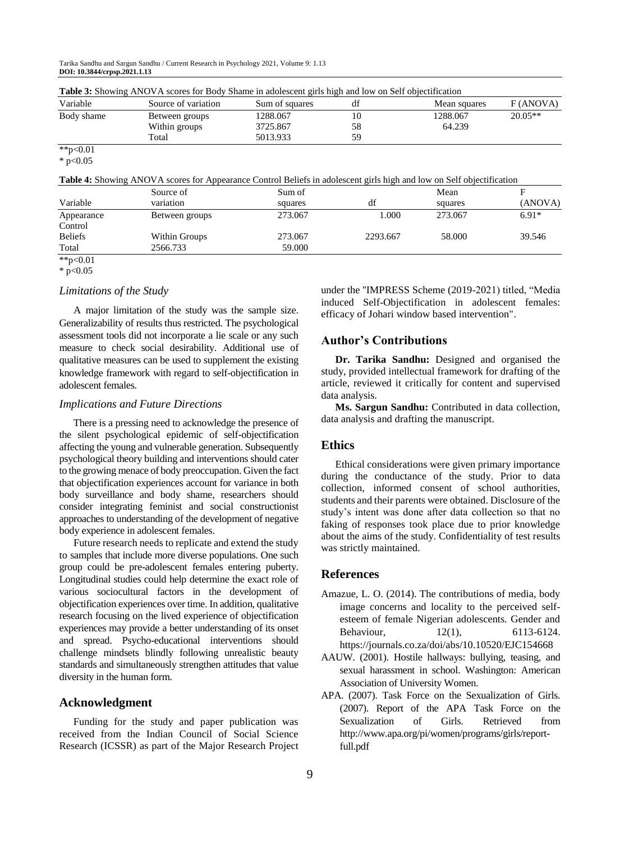Tarika Sandhu and Sargun Sandhu / Current Research in Psychology 2021, Volume 9: 1.13 **DOI: 10.3844/crpsp.2021.1.13**

|            | <b>Table 3:</b> Snowing ANOVA scores for Body Sname in adolescent girls high and low on Self objectification |                |    |              |           |
|------------|--------------------------------------------------------------------------------------------------------------|----------------|----|--------------|-----------|
| Variable   | Source of variation                                                                                          | Sum of squares | df | Mean squares | F(ANOVA)  |
| Body shame | Between groups                                                                                               | 1288.067       | 10 | 1288.067     | $20.05**$ |
|            | Within groups                                                                                                | 3725.867       | 58 | 64.239       |           |
|            | Total                                                                                                        | 5013.933       | 59 |              |           |
| **p<0.01   |                                                                                                              |                |    |              |           |

**Table 3:** Showing ANOVA scores for Body Shame in adolescent girls high and low on Self objectification

 $*$  p<0.05

**Table 4:** Showing ANOVA scores for Appearance Control Beliefs in adolescent girls high and low on Self objectification

|                | $\overline{\phantom{0}}$ |         |          |         |         |
|----------------|--------------------------|---------|----------|---------|---------|
|                | Source of                | Sum of  |          | Mean    |         |
| Variable       | variation                | squares | df       | squares | (ANOVA) |
| Appearance     | Between groups           | 273.067 | 1.000    | 273.067 | $6.91*$ |
| Control        |                          |         |          |         |         |
| <b>Beliefs</b> | Within Groups            | 273.067 | 2293.667 | 58,000  | 39.546  |
| Total          | 2566.733                 | 59.000  |          |         |         |
| **p<0.01       |                          |         |          |         |         |

<sup>\*</sup>  $p<0.05$ 

#### *Limitations of the Study*

A major limitation of the study was the sample size. Generalizability of results thus restricted. The psychological assessment tools did not incorporate a lie scale or any such measure to check social desirability. Additional use of qualitative measures can be used to supplement the existing knowledge framework with regard to self-objectification in adolescent females.

## *Implications and Future Directions*

There is a pressing need to acknowledge the presence of the silent psychological epidemic of self-objectification affecting the young and vulnerable generation. Subsequently psychological theory building and interventions should cater to the growing menace of body preoccupation. Given the fact that objectification experiences account for variance in both body surveillance and body shame, researchers should consider integrating feminist and social constructionist approaches to understanding of the development of negative body experience in adolescent females.

Future research needs to replicate and extend the study to samples that include more diverse populations. One such group could be pre-adolescent females entering puberty. Longitudinal studies could help determine the exact role of various sociocultural factors in the development of objectification experiences over time. In addition, qualitative research focusing on the lived experience of objectification experiences may provide a better understanding of its onset and spread. Psycho-educational interventions should challenge mindsets blindly following unrealistic beauty standards and simultaneously strengthen attitudes that value diversity in the human form.

## **Acknowledgment**

Funding for the study and paper publication was received from the Indian Council of Social Science Research (ICSSR) as part of the Major Research Project under the ''IMPRESS Scheme (2019-2021) titled, "Media induced Self-Objectification in adolescent females: efficacy of Johari window based intervention".

## **Author's Contributions**

**Dr. Tarika Sandhu:** Designed and organised the study, provided intellectual framework for drafting of the article, reviewed it critically for content and supervised data analysis.

**Ms. Sargun Sandhu:** Contributed in data collection, data analysis and drafting the manuscript.

#### **Ethics**

Ethical considerations were given primary importance during the conductance of the study. Prior to data collection, informed consent of school authorities, students and their parents were obtained. Disclosure of the study's intent was done after data collection so that no faking of responses took place due to prior knowledge about the aims of the study. Confidentiality of test results was strictly maintained.

#### **References**

- Amazue, L. O. (2014). The contributions of media, body image concerns and locality to the perceived selfesteem of female Nigerian adolescents. Gender and Behaviour, 12(1), 6113-6124. https://journals.co.za/doi/abs/10.10520/EJC154668
- AAUW. (2001). Hostile hallways: bullying, teasing, and sexual harassment in school. Washington: American Association of University Women.
- APA. (2007). Task Force on the Sexualization of Girls. (2007). Report of the APA Task Force on the Sexualization of Girls. Retrieved from http://www.apa.org/pi/women/programs/girls/reportfull.pdf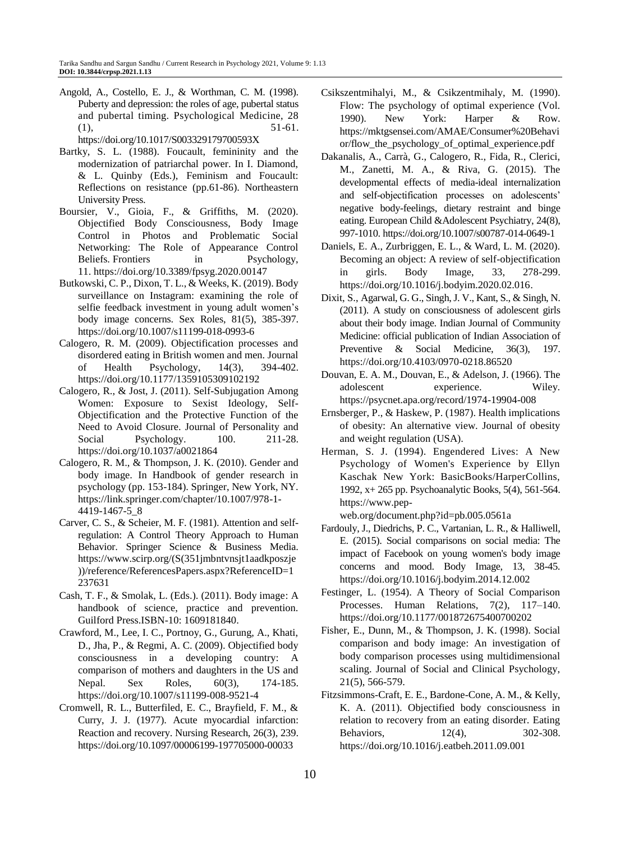Angold, A., Costello, E. J., & Worthman, C. M. (1998). Puberty and depression: the roles of age, pubertal status and pubertal timing. Psychological Medicine, 28  $(1),$  51-61.

https://doi.org/10.1017/S003329179700593X

- Bartky, S. L. (1988). Foucault, femininity and the modernization of patriarchal power. In I. Diamond, & L. Quinby (Eds.), Feminism and Foucault: Reflections on resistance (pp.61-86). Northeastern University Press.
- Boursier, V., Gioia, F., & Griffiths, M. (2020). Objectified Body Consciousness, Body Image Control in Photos and Problematic Social Networking: The Role of Appearance Control Beliefs. Frontiers in Psychology, 11. <https://doi.org/10.3389/fpsyg.2020.00147>
- Butkowski, C. P., Dixon, T. L., & Weeks, K. (2019). Body surveillance on Instagram: examining the role of selfie feedback investment in young adult women's body image concerns. Sex Roles, 81(5), 385-397. <https://doi.org/10.1007/s11199-018-0993-6>
- Calogero, R. M. (2009). Objectification processes and disordered eating in British women and men. Journal of Health Psychology, 14(3), 394-402. <https://doi.org/10.1177/1359105309102192>
- Calogero, R., & Jost, J. (2011). Self-Subjugation Among Women: Exposure to Sexist Ideology, Self-Objectification and the Protective Function of the Need to Avoid Closure. Journal of Personality and Social Psychology. 100. 211-28. https://doi.org/10.1037/a0021864
- Calogero, R. M., & Thompson, J. K. (2010). Gender and body image. In Handbook of gender research in psychology (pp. 153-184). Springer, New York, NY. https://link.springer.com/chapter/10.1007/978-1- 4419-1467-5\_8
- Carver, C. S., & Scheier, M. F. (1981). Attention and selfregulation: A Control Theory Approach to Human Behavior. Springer Science & Business Media. https://www.scirp.org/(S(351jmbntvnsjt1aadkposzje ))/reference/ReferencesPapers.aspx?ReferenceID=1 237631
- Cash, T. F., & Smolak, L. (Eds.). (2011). Body image: A handbook of science, practice and prevention. Guilford Press.ISBN-10: 1609181840.
- Crawford, M., Lee, I. C., Portnoy, G., Gurung, A., Khati, D., Jha, P., & Regmi, A. C. (2009). Objectified body consciousness in a developing country: A comparison of mothers and daughters in the US and Nepal. Sex Roles, 60(3), 174-185. <https://doi.org/10.1007/s11199-008-9521-4>
- Cromwell, R. L., Butterfiled, E. C., Brayfield, F. M., & Curry, J. J. (1977). Acute myocardial infarction: Reaction and recovery. Nursing Research, 26(3), 239. https://doi.org/10.1097/00006199-197705000-00033
- Csikszentmihalyi, M., & Csikzentmihaly, M. (1990). Flow: The psychology of optimal experience (Vol. 1990). New York: Harper & Row. https://mktgsensei.com/AMAE/Consumer%20Behavi or/flow\_the\_psychology\_of\_optimal\_experience.pdf
- Dakanalis, A., Carrà, G., Calogero, R., Fida, R., Clerici, M., Zanetti, M. A., & Riva, G. (2015). The developmental effects of media-ideal internalization and self-objectification processes on adolescents' negative body-feelings, dietary restraint and binge eating. European Child &Adolescent Psychiatry, 24(8), 997-1010. <https://doi.org/10.1007/s00787-014-0649-1>
- Daniels, E. A., Zurbriggen, E. L., & Ward, L. M. (2020). Becoming an object: A review of self-objectification in girls. Body Image, 33, 278-299. [https://doi.org/10.1016/j.bodyim.2020.02.016.](https://doi.org/10.1016/j.bodyim.2020.02.016)
- Dixit, S., Agarwal, G. G., Singh, J. V., Kant, S., & Singh, N. (2011). A study on consciousness of adolescent girls about their body image. Indian Journal of Community Medicine: official publication of Indian Association of Preventive & Social Medicine, 36(3), 197. https://doi.org/10.4103/0970-0218.86520
- Douvan, E. A. M., Douvan, E., & Adelson, J. (1966). The adolescent experience. Wiley. https://psycnet.apa.org/record/1974-19904-008
- Ernsberger, P., & Haskew, P. (1987). Health implications of obesity: An alternative view. Journal of obesity and weight regulation (USA).
- Herman, S. J. (1994). Engendered Lives: A New Psychology of Women's Experience by Ellyn Kaschak New York: BasicBooks/HarperCollins, 1992, x+ 265 pp. Psychoanalytic Books, 5(4), 561-564. https://www.pep-

web.org/document.php?id=pb.005.0561a

- Fardouly, J., Diedrichs, P. C., Vartanian, L. R., & Halliwell, E. (2015). Social comparisons on social media: The impact of Facebook on young women's body image concerns and mood. Body Image, 13, 38-45. https://doi.org/10.1016/j.bodyim.2014.12.002
- Festinger, L. (1954). A Theory of Social Comparison Processes. Human Relations, 7(2), 117–140. <https://doi.org/10.1177/001872675400700202>
- Fisher, E., Dunn, M., & Thompson, J. K. (1998). Social comparison and body image: An investigation of body comparison processes using multidimensional scaling. Journal of Social and Clinical Psychology, 21(5), 566-579.
- Fitzsimmons-Craft, E. E., Bardone-Cone, A. M., & Kelly, K. A. (2011). Objectified body consciousness in relation to recovery from an eating disorder. Eating Behaviors, 12(4), 302-308. <https://doi.org/10.1016/j.eatbeh.2011.09.001>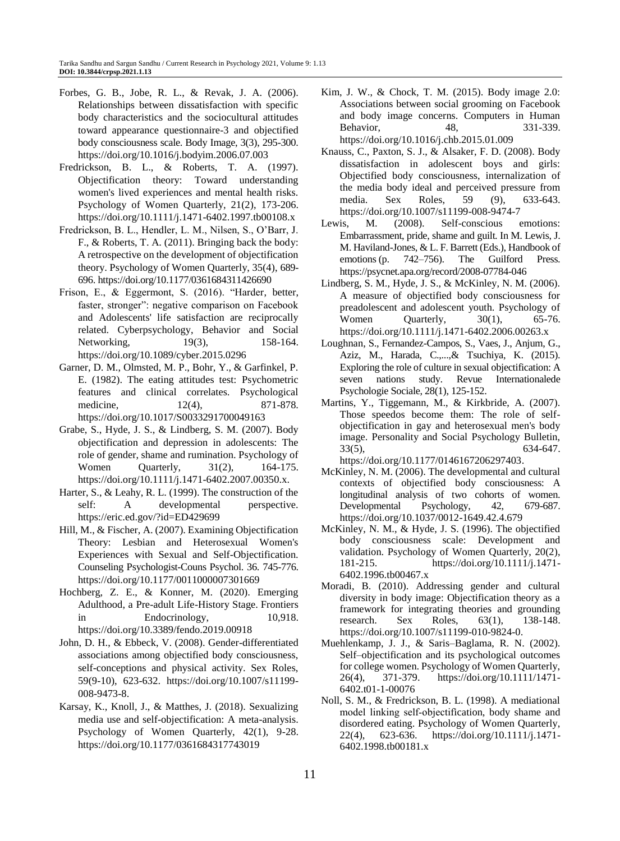- Forbes, G. B., Jobe, R. L., & Revak, J. A. (2006). Relationships between dissatisfaction with specific body characteristics and the sociocultural attitudes toward appearance questionnaire-3 and objectified body consciousness scale. Body Image, 3(3), 295-300. <https://doi.org/10.1016/j.bodyim.2006.07.003>
- Fredrickson, B. L., & Roberts, T. A. (1997). Objectification theory: Toward understanding women's lived experiences and mental health risks. Psychology of Women Quarterly, 21(2), 173-20[6.](https://doi.org/10.1111/j.1471-6402.1997.tb00108.x) <https://doi.org/10.1111/j.1471-6402.1997.tb00108.x>
- Fredrickson, B. L., Hendler, L. M., Nilsen, S., O'Barr, J. F., & Roberts, T. A. (2011). Bringing back the body: A retrospective on the development of objectification theory. Psychology of Women Quarterly, 35(4), 689- 696. <https://doi.org/10.1177/0361684311426690>
- Frison, E., & Eggermont, S. (2016). "Harder, better, faster, stronger": negative comparison on Facebook and Adolescents' life satisfaction are reciprocally related. Cyberpsychology, Behavior and Social Networking, 19(3), 158-164. https://doi.org/10.1089/cyber.2015.0296
- Garner, D. M., Olmsted, M. P., Bohr, Y., & Garfinkel, P. E. (1982). The eating attitudes test: Psychometric features and clinical correlates. Psychological medicine, 12(4), 871-878. https://doi.org/10.1017/S0033291700049163
- Grabe, S., Hyde, J. S., & Lindberg, S. M. (2007). Body objectification and depression in adolescents: The role of gender, shame and rumination. Psychology of Women Quarterly, 31(2), 164-175. [https://doi.org/10.1111/j.1471-6402.2007.00350.x.](https://doi.org/10.1111/j.1471-6402.2007.00350.x)
- Harter, S., & Leahy, R. L. (1999). The construction of the self: A developmental perspective. <https://eric.ed.gov/?id=ED429699>
- Hill, M., & Fischer, A. (2007). Examining Objectification Theory: Lesbian and Heterosexual Women's Experiences with Sexual and Self-Objectification. Counseling Psychologist-Couns Psychol. 36. 745-776. https://doi.org/10.1177/0011000007301669
- Hochberg, Z. E., & Konner, M. (2020). Emerging Adulthood, a Pre-adult Life-History Stage. Frontiers in Endocrinology, 10,918. https://doi.org/10.3389/fendo.2019.00918
- John, D. H., & Ebbeck, V. (2008). Gender-differentiated associations among objectified body consciousness, self-conceptions and physical activity. Sex Roles, 59(9-10), 623-632. [https://doi.org/10.1007/s11199-](https://doi.org/10.1007/s11199-008-9473-8) [008-9473-8.](https://doi.org/10.1007/s11199-008-9473-8)
- Karsay, K., Knoll, J., & Matthes, J. (2018). Sexualizing media use and self-objectification: A meta-analysis. Psychology of Women Quarterly, 42(1), 9-28. <https://doi.org/10.1177/0361684317743019>
- Kim, J. W., & Chock, T. M. (2015). Body image 2.0: Associations between social grooming on Facebook and body image concerns. Computers in Human Behavior, 48, 331-339. https://doi.org/10.1016/j.chb.2015.01.009
- Knauss, C., Paxton, S. J., & Alsaker, F. D. (2008). Body dissatisfaction in adolescent boys and girls: Objectified body consciousness, internalization of the media body ideal and perceived pressure from media. Sex Roles, 59 (9), 633-643. <https://doi.org/10.1007/s11199-008-9474-7>
- Lewis, M. (2008). Self-conscious emotions: Embarrassment, pride, shame and guilt*.* In M. Lewis, J. M. Haviland-Jones, & L. F. Barrett (Eds.), Handbook of emotions (p. 742–756). The Guilford Press. https://psycnet.apa.org/record/2008-07784-046
- Lindberg, S. M., Hyde, J. S., & McKinley, N. M. (2006). A measure of objectified body consciousness for preadolescent and adolescent youth. Psychology of Women Quarterly, 30(1), 65-76. <https://doi.org/10.1111/j.1471-6402.2006.00263.x>
- Loughnan, S., Fernandez-Campos, S., Vaes, J., Anjum, G., Aziz, M., Harada, C.,...,& Tsuchiya, K. (2015). Exploring the role of culture in sexual objectification: A seven nations study. Revue Internationalede Psychologie Sociale, 28(1), 125-152.
- Martins, Y., Tiggemann, M., & Kirkbride, A. (2007). Those speedos become them: The role of selfobjectification in gay and heterosexual men's body image. Personality and Social Psychology Bulletin, 33(5), 634-647. [https://doi.org/10.1177/0146167206297403.](https://doi.org/10.1177/0146167206297403)
- McKinley, N. M. (2006). The developmental and cultural contexts of objectified body consciousness: A longitudinal analysis of two cohorts of women. Developmental Psychology, 42, 679-687. <https://doi.org/10.1037/0012-1649.42.4.679>
- McKinley, N. M., & Hyde, J. S. (1996). The objectified body consciousness scale: Development and validation. Psychology of Women Quarterly, 20(2), 181-215. [https://doi.org/10.1111/j.1471-](https://doi.org/10.1111/j.1471-6402.1996.tb00467.x) [6402.1996.tb00467.x](https://doi.org/10.1111/j.1471-6402.1996.tb00467.x)
- Moradi, B. (2010). Addressing gender and cultural diversity in body image: Objectification theory as a framework for integrating theories and grounding research. Sex Roles, 63(1), 138-148. [https://doi.org/10.1007/s11199-010-9824-0.](https://doi.org/10.1007/s11199-010-9824-0)
- Muehlenkamp, J. J., & Saris–Baglama, R. N. (2002). Self–objectification and its psychological outcomes for college women. Psychology of Women Quarterly, 26(4), 371-379. [https://doi.org/10.1111/1471-](https://doi.org/10.1111/1471-6402.t01-1-00076) [6402.t01-1-00076](https://doi.org/10.1111/1471-6402.t01-1-00076)
- Noll, S. M., & Fredrickson, B. L. (1998). A mediational model linking self‐objectification, body shame and disordered eating. Psychology of Women Quarterly, 22(4), 623-636. [https://doi.org/10.1111/j.1471-](https://doi.org/10.1111/j.1471-6402.1998.tb00181.x) [6402.1998.tb00181.x](https://doi.org/10.1111/j.1471-6402.1998.tb00181.x)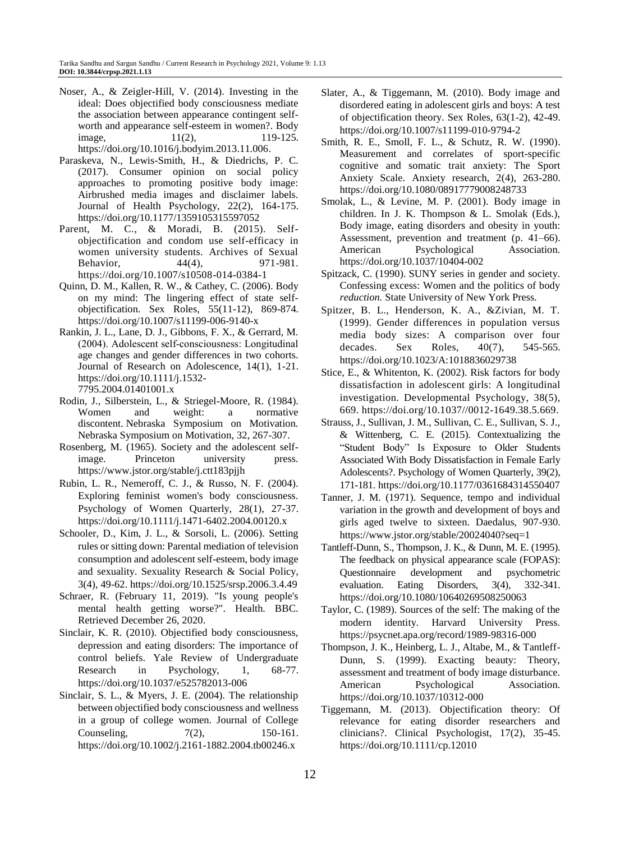- Noser, A., & Zeigler-Hill, V. (2014). Investing in the ideal: Does objectified body consciousness mediate the association between appearance contingent selfworth and appearance self-esteem in women?. Body image, 11(2), 119-125. [https://doi.org/10.1016/j.bodyim.2013.11.006.](https://doi.org/10.1016/j.bodyim.2013.11.006)
- Paraskeva, N., Lewis-Smith, H., & Diedrichs, P. C. (2017). Consumer opinion on social policy approaches to promoting positive body image: Airbrushed media images and disclaimer labels. Journal of Health Psychology, 22(2), 164-175. <https://doi.org/10.1177/1359105315597052>
- Parent, M. C., & Moradi, B. (2015). Selfobjectification and condom use self-efficacy in women university students. Archives of Sexual Behavior, 44(4), 971-981. https://doi.org/10.1007/s10508-014-0384-1
- Quinn, D. M., Kallen, R. W., & Cathey, C. (2006). Body on my mind: The lingering effect of state selfobjectification. Sex Roles, 55(11-12), 869-874. <https://doi.org/10.1007/s11199-006-9140-x>
- Rankin, J. L., Lane, D. J., Gibbons, F. X., & Gerrard, M. (2004). Adolescent self‐consciousness: Longitudinal age changes and gender differences in two cohorts. Journal of Research on Adolescence, 14(1), 1-21. [https://doi.org/10.1111/j.1532-](https://doi.org/10.1111/j.1532-7795.2004.01401001.x) [7795.2004.01401001.x](https://doi.org/10.1111/j.1532-7795.2004.01401001.x)
- Rodin, J., Silberstein, L., & Striegel-Moore, R. (1984). Women and weight: a normative discontent. Nebraska Symposium on Motivation. Nebraska Symposium on Motivation, 32, 267-307.
- Rosenberg, M. (1965). Society and the adolescent selfimage. Princeton university press. https://www.jstor.org/stable/j.ctt183pjjh
- Rubin, L. R., Nemeroff, C. J., & Russo, N. F. (2004). Exploring feminist women's body consciousness. Psychology of Women Quarterly, 28(1), 27-37. https://doi.org/10.1111/j.1471-6402.2004.00120.x
- Schooler, D., Kim, J. L., & Sorsoli, L. (2006). Setting rules or sitting down: Parental mediation of television consumption and adolescent self-esteem, body image and sexuality. Sexuality Research & Social Policy, 3(4), 49-62. https://doi.org/10.1525/srsp.2006.3.4.49
- Schraer, R. (February 11, 2019). "Is young people's mental health getting worse?". Health. BBC. Retrieved December 26, 2020.
- Sinclair, K. R. (2010). Objectified body consciousness, depression and eating disorders: The importance of control beliefs. Yale Review of Undergraduate Research in Psychology, 1, 68-77. https://doi.org/10.1037/e525782013-006
- Sinclair, S. L., & Myers, J. E. (2004). The relationship between objectified body consciousness and wellness in a group of college women. Journal of College Counseling,  $7(2)$ , 150-161. <https://doi.org/10.1002/j.2161-1882.2004.tb00246.x>
- Slater, A., & Tiggemann, M. (2010). Body image and disordered eating in adolescent girls and boys: A test of objectification theory. Sex Roles, 63(1-2), 42-49. <https://doi.org/10.1007/s11199-010-9794-2>
- Smith, R. E., Smoll, F. L., & Schutz, R. W. (1990). Measurement and correlates of sport-specific cognitive and somatic trait anxiety: The Sport Anxiety Scale. Anxiety research, 2(4), 263-280. https://doi.org/10.1080/08917779008248733
- Smolak, L., & Levine, M. P. (2001). Body image in children. In J. K. Thompson & L. Smolak (Eds.), Body image, eating disorders and obesity in youth: Assessment, prevention and treatment (p. 41–66). American Psychological Association. <https://doi.org/10.1037/10404-002>
- Spitzack, C. (1990). SUNY series in gender and society. Confessing excess: Women and the politics of body *reduction.* State University of New York Press.
- Spitzer, B. L., Henderson, K. A., &Zivian, M. T. (1999). Gender differences in population versus media body sizes: A comparison over four decades. Sex Roles, 40(7), 545-565. <https://doi.org/10.1023/A:1018836029738>
- Stice, E., & Whitenton, K. (2002). Risk factors for body dissatisfaction in adolescent girls: A longitudinal investigation. Developmental Psychology, 38(5), 669. [https://doi.org/10.1037//0012-1649.38.5.669.](https://doi.org/10.1037/0012-1649.38.5.669)
- Strauss, J., Sullivan, J. M., Sullivan, C. E., Sullivan, S. J., & Wittenberg, C. E. (2015). Contextualizing the "Student Body" Is Exposure to Older Students Associated With Body Dissatisfaction in Female Early Adolescents?. Psychology of Women Quarterly, 39(2), 171-181. <https://doi.org/10.1177/0361684314550407>
- Tanner, J. M. (1971). Sequence, tempo and individual variation in the growth and development of boys and girls aged twelve to sixteen. Daedalus, 907-930. https://www.jstor.org/stable/20024040?seq=1
- Tantleff-Dunn, S., Thompson, J. K., & Dunn, M. E. (1995). The feedback on physical appearance scale (FOPAS): Questionnaire development and psychometric evaluation. Eating Disorders, 3(4), 332-341. https://doi.org/10.1080/10640269508250063
- Taylor, C. (1989). Sources of the self: The making of the modern identity. Harvard University Press. https://psycnet.apa.org/record/1989-98316-000
- Thompson, J. K., Heinberg, L. J., Altabe, M., & Tantleff-Dunn, S. (1999). Exacting beauty: Theory, assessment and treatment of body image disturbance. American Psychological Association. https://doi.org/10.1037/10312-000
- Tiggemann, M. (2013). Objectification theory: Of relevance for eating disorder researchers and clinicians?. Clinical Psychologist, 17(2), 35-45. <https://doi.org/10.1111/cp.12010>